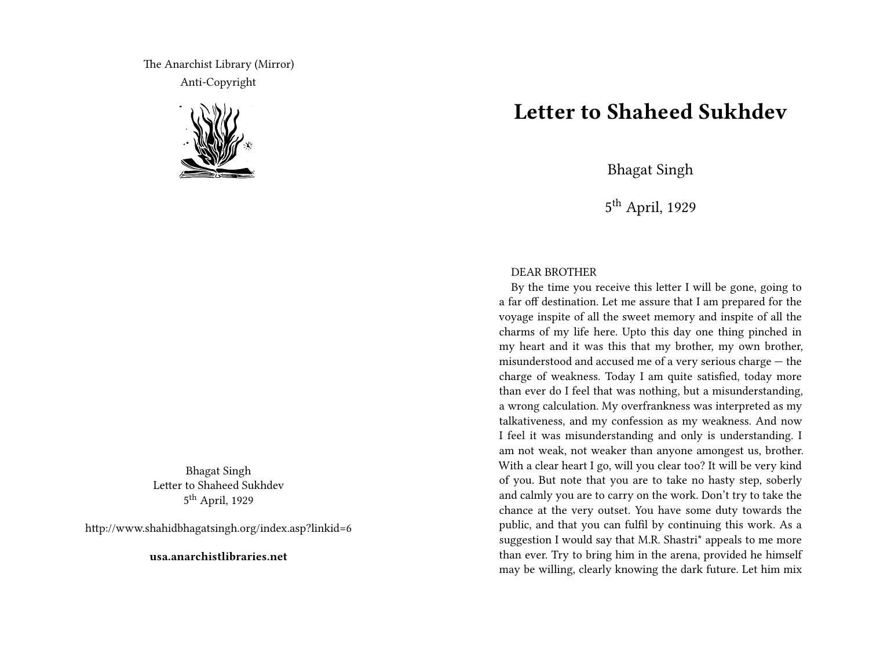The Anarchist Library (Mirror) Anti-Copyright



Bhagat Singh Letter to Shaheed Sukhdev 5<sup>th</sup> April, 1929

http://www.shahidbhagatsingh.org/index.asp?linkid=6

**usa.anarchistlibraries.net**

## **Letter to Shaheed Sukhdev**

Bhagat Singh

5<sup>th</sup> April, 1929

## DEAR BROTHER

By the time you receive this letter I will be gone, going to a far off destination. Let me assure that I am prepared for the voyage inspite of all the sweet memory and inspite of all the charms of my life here. Upto this day one thing pinched in my heart and it was this that my brother, my own brother, misunderstood and accused me of a very serious charge — the charge of weakness. Today I am quite satisfied, today more than ever do I feel that was nothing, but a misunderstanding, a wrong calculation. My overfrankness was interpreted as my talkativeness, and my confession as my weakness. And now I feel it was misunderstanding and only is understanding. I am not weak, not weaker than anyone amongest us, brother. With a clear heart I go, will you clear too? It will be very kind of you. But note that you are to take no hasty step, soberly and calmly you are to carry on the work. Don't try to take the chance at the very outset. You have some duty towards the public, and that you can fulfil by continuing this work. As a suggestion I would say that M.R. Shastri\* appeals to me more than ever. Try to bring him in the arena, provided he himself may be willing, clearly knowing the dark future. Let him mix